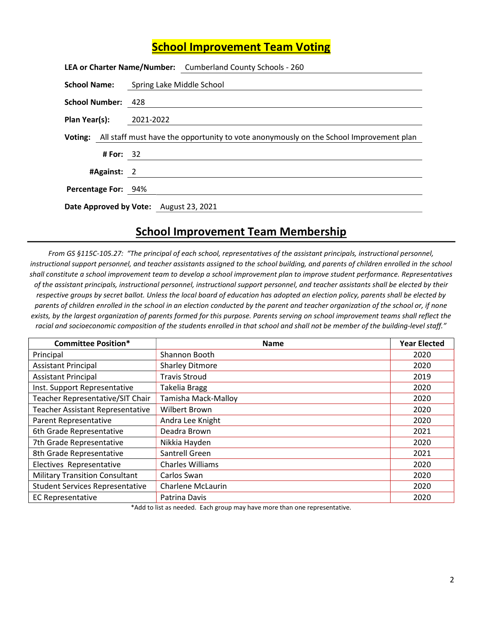## School Improvement Team Voting

|                            |             | LEA or Charter Name/Number: Cumberland County Schools - 260                                    |
|----------------------------|-------------|------------------------------------------------------------------------------------------------|
|                            |             | <b>School Name:</b> Spring Lake Middle School                                                  |
| School Number: 428         |             |                                                                                                |
| Plan Year(s): 2021-2022    |             |                                                                                                |
|                            |             | Voting: All staff must have the opportunity to vote anonymously on the School Improvement plan |
|                            | # For: $32$ |                                                                                                |
|                            | #Against: 2 |                                                                                                |
| <b>Percentage For: 94%</b> |             |                                                                                                |
|                            |             | Date Approved by Vote: August 23, 2021                                                         |

## School Improvement Team Membership

From GS §115C-105.27: "The principal of each school, representatives of the assistant principals, instructional personnel, instructional support personnel, and teacher assistants assigned to the school building, and parents of children enrolled in the school shall constitute a school improvement team to develop a school improvement plan to improve student performance. Representatives of the assistant principals, instructional personnel, instructional support personnel, and teacher assistants shall be elected by their respective groups by secret ballot. Unless the local board of education has adopted an election policy, parents shall be elected by parents of children enrolled in the school in an election conducted by the parent and teacher organization of the school or, if none exists, by the largest organization of parents formed for this purpose. Parents serving on school improvement teams shall reflect the racial and socioeconomic composition of the students enrolled in that school and shall not be member of the building-level staff."

| <b>Committee Position*</b>              | <b>Name</b>              | <b>Year Elected</b> |
|-----------------------------------------|--------------------------|---------------------|
| Principal                               | Shannon Booth            | 2020                |
| <b>Assistant Principal</b>              | <b>Sharley Ditmore</b>   | 2020                |
| <b>Assistant Principal</b>              | <b>Travis Stroud</b>     | 2019                |
| Inst. Support Representative            | <b>Takelia Bragg</b>     | 2020                |
| Teacher Representative/SIT Chair        | Tamisha Mack-Malloy      | 2020                |
| <b>Teacher Assistant Representative</b> | <b>Wilbert Brown</b>     | 2020                |
| Parent Representative                   | Andra Lee Knight         | 2020                |
| 6th Grade Representative                | Deadra Brown             | 2021                |
| 7th Grade Representative                | Nikkia Hayden            | 2020                |
| 8th Grade Representative                | Santrell Green           | 2021                |
| Electives Representative                | <b>Charles Williams</b>  | 2020                |
| <b>Military Transition Consultant</b>   | Carlos Swan              | 2020                |
| <b>Student Services Representative</b>  | <b>Charlene McLaurin</b> | 2020                |
| <b>EC Representative</b>                | Patrina Davis            | 2020                |

\*Add to list as needed. Each group may have more than one representative.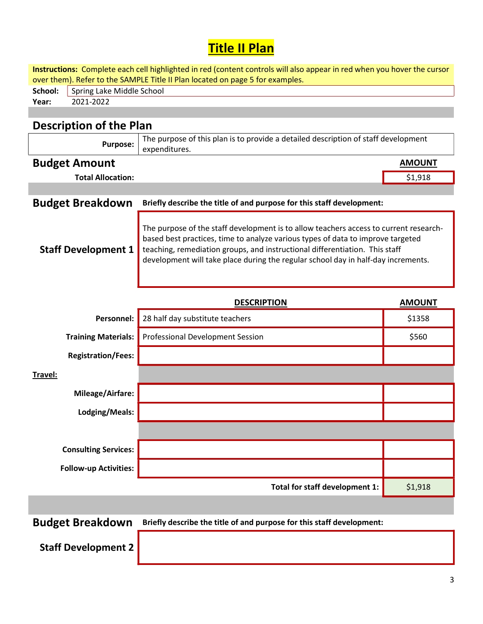## Title II Plan

Instructions: Complete each cell highlighted in red (content controls will also appear in red when you hover the cursor over them). Refer to the SAMPLE Title II Plan located on page 5 for examples.

| School: | <sup>1</sup> Spring Lake Middle School |
|---------|----------------------------------------|
| Year:   |                                        |
|         |                                        |

## Description of the Plan

| The purpose of this plan is to provide a detailed description of staff development<br>Purpose:<br>expenditures. |               |
|-----------------------------------------------------------------------------------------------------------------|---------------|
| <b>Budget Amount</b>                                                                                            | <b>AMOUNT</b> |

Total Allocation:  $\begin{array}{ccc} \text{51,918} \end{array}$ 

| Budget Breakdown Briefly describe the title of and purpose for this staff development: |
|----------------------------------------------------------------------------------------|

Staff Development 1 The purpose of the staff development is to allow teachers access to current researchbased best practices, time to analyze various types of data to improve targeted teaching, remediation groups, and instructional differentiation. This staff development will take place during the regular school day in half-day increments.

|                              | <b>DESCRIPTION</b>               | <b>AMOUNT</b> |
|------------------------------|----------------------------------|---------------|
| Personnel:                   | 28 half day substitute teachers  | \$1358        |
| <b>Training Materials:</b>   | Professional Development Session | \$560         |
| <b>Registration/Fees:</b>    |                                  |               |
| Travel:                      |                                  |               |
| <b>Mileage/Airfare:</b>      |                                  |               |
| Lodging/Meals:               |                                  |               |
|                              |                                  |               |
| <b>Consulting Services:</b>  |                                  |               |
| <b>Follow-up Activities:</b> |                                  |               |
|                              | Total for staff development 1:   | \$1,918       |
|                              |                                  |               |

Budget Breakdown Briefly describe the title of and purpose for this staff development:

Staff Development 2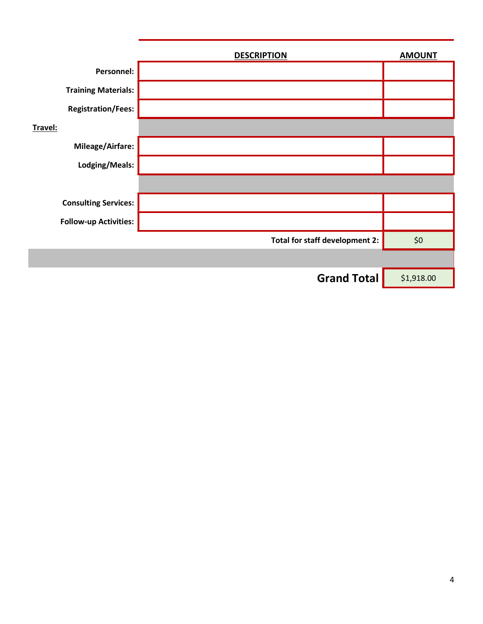|                              | <b>DESCRIPTION</b>             | <b>AMOUNT</b> |
|------------------------------|--------------------------------|---------------|
| Personnel:                   |                                |               |
| <b>Training Materials:</b>   |                                |               |
| <b>Registration/Fees:</b>    |                                |               |
| Travel:                      |                                |               |
| Mileage/Airfare:             |                                |               |
| Lodging/Meals:               |                                |               |
|                              |                                |               |
| <b>Consulting Services:</b>  |                                |               |
| <b>Follow-up Activities:</b> |                                |               |
|                              | Total for staff development 2: | \$0\$         |
|                              |                                |               |
|                              | <b>Grand Total</b>             | \$1,918.00    |